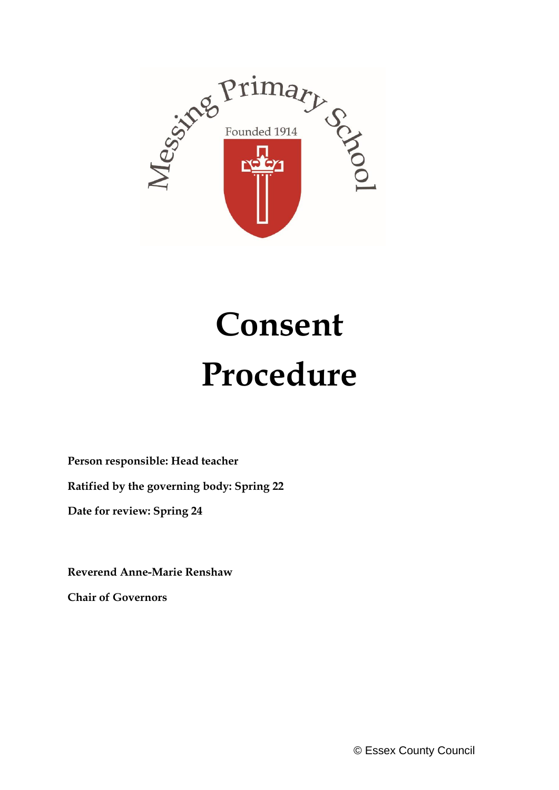

# **Consent Procedure**

**Person responsible: Head teacher**

**Ratified by the governing body: Spring 22**

**Date for review: Spring 24**

**Reverend Anne-Marie Renshaw**

**Chair of Governors**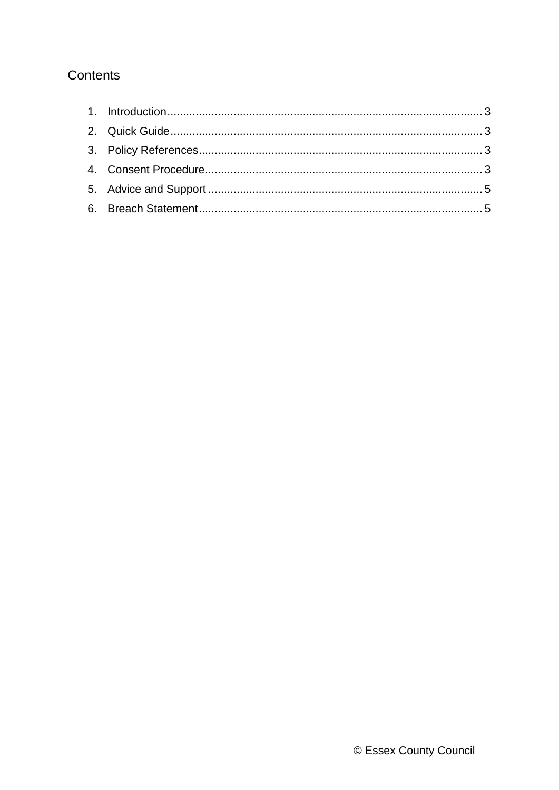# Contents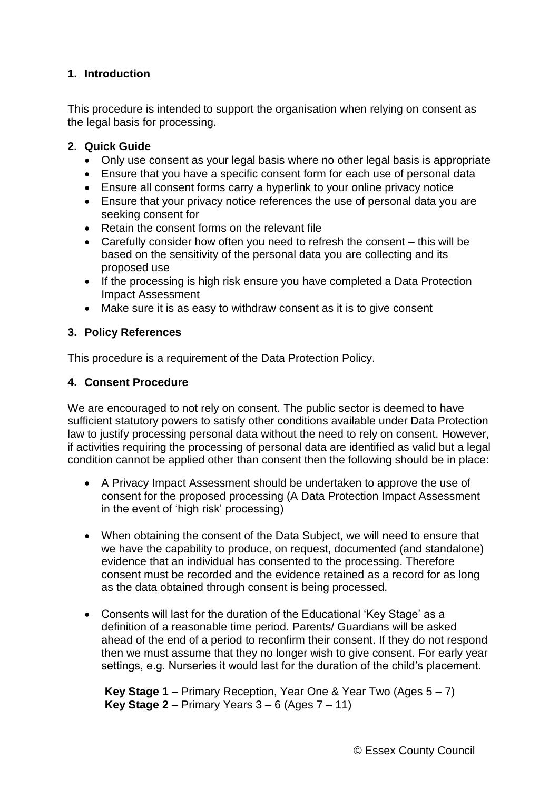# <span id="page-2-0"></span>**1. Introduction**

This procedure is intended to support the organisation when relying on consent as the legal basis for processing.

## <span id="page-2-1"></span>**2. Quick Guide**

- Only use consent as your legal basis where no other legal basis is appropriate
- Ensure that you have a specific consent form for each use of personal data
- Ensure all consent forms carry a hyperlink to your online privacy notice
- Ensure that your privacy notice references the use of personal data you are seeking consent for
- Retain the consent forms on the relevant file
- Carefully consider how often you need to refresh the consent this will be based on the sensitivity of the personal data you are collecting and its proposed use
- If the processing is high risk ensure you have completed a Data Protection Impact Assessment
- Make sure it is as easy to withdraw consent as it is to give consent

### <span id="page-2-2"></span>**3. Policy References**

This procedure is a requirement of the Data Protection Policy.

### <span id="page-2-3"></span>**4. Consent Procedure**

We are encouraged to not rely on consent. The public sector is deemed to have sufficient statutory powers to satisfy other conditions available under Data Protection law to justify processing personal data without the need to rely on consent. However, if activities requiring the processing of personal data are identified as valid but a legal condition cannot be applied other than consent then the following should be in place:

- A Privacy Impact Assessment should be undertaken to approve the use of consent for the proposed processing (A Data Protection Impact Assessment in the event of 'high risk' processing)
- When obtaining the consent of the Data Subject, we will need to ensure that we have the capability to produce, on request, documented (and standalone) evidence that an individual has consented to the processing. Therefore consent must be recorded and the evidence retained as a record for as long as the data obtained through consent is being processed.
- Consents will last for the duration of the Educational 'Key Stage' as a definition of a reasonable time period. Parents/ Guardians will be asked ahead of the end of a period to reconfirm their consent. If they do not respond then we must assume that they no longer wish to give consent. For early year settings, e.g. Nurseries it would last for the duration of the child's placement.

**Key Stage 1** – Primary Reception, Year One & Year Two (Ages 5 – 7) **Key Stage 2** – Primary Years 3 – 6 (Ages 7 – 11)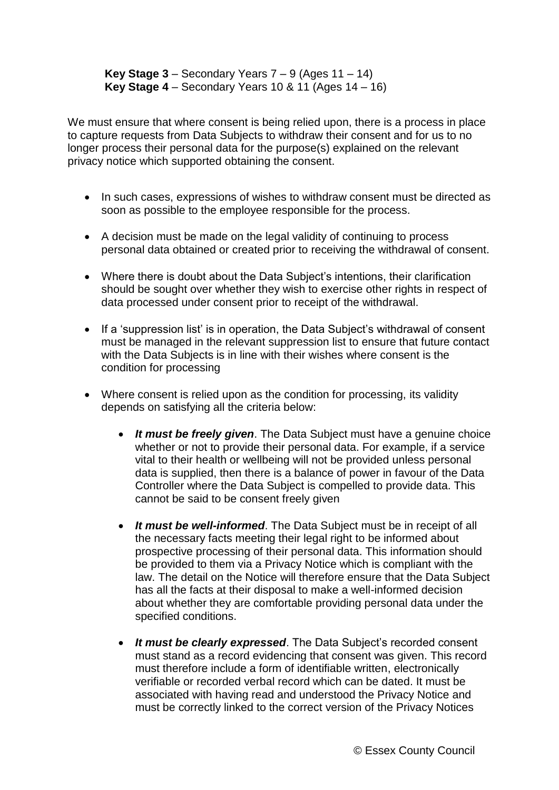**Key Stage**  $3$  – Secondary Years  $7 - 9$  (Ages  $11 - 14$ ) **Key Stage 4** – Secondary Years 10 & 11 (Ages 14 – 16)

We must ensure that where consent is being relied upon, there is a process in place to capture requests from Data Subjects to withdraw their consent and for us to no longer process their personal data for the purpose(s) explained on the relevant privacy notice which supported obtaining the consent.

- In such cases, expressions of wishes to withdraw consent must be directed as soon as possible to the employee responsible for the process.
- A decision must be made on the legal validity of continuing to process personal data obtained or created prior to receiving the withdrawal of consent.
- Where there is doubt about the Data Subject's intentions, their clarification should be sought over whether they wish to exercise other rights in respect of data processed under consent prior to receipt of the withdrawal.
- If a 'suppression list' is in operation, the Data Subject's withdrawal of consent must be managed in the relevant suppression list to ensure that future contact with the Data Subjects is in line with their wishes where consent is the condition for processing
- Where consent is relied upon as the condition for processing, its validity depends on satisfying all the criteria below:
	- *It must be freely given*. The Data Subject must have a genuine choice whether or not to provide their personal data. For example, if a service vital to their health or wellbeing will not be provided unless personal data is supplied, then there is a balance of power in favour of the Data Controller where the Data Subject is compelled to provide data. This cannot be said to be consent freely given
	- *It must be well-informed*. The Data Subject must be in receipt of all the necessary facts meeting their legal right to be informed about prospective processing of their personal data. This information should be provided to them via a Privacy Notice which is compliant with the law. The detail on the Notice will therefore ensure that the Data Subject has all the facts at their disposal to make a well-informed decision about whether they are comfortable providing personal data under the specified conditions.
	- *It must be clearly expressed*. The Data Subject's recorded consent must stand as a record evidencing that consent was given. This record must therefore include a form of identifiable written, electronically verifiable or recorded verbal record which can be dated. It must be associated with having read and understood the Privacy Notice and must be correctly linked to the correct version of the Privacy Notices